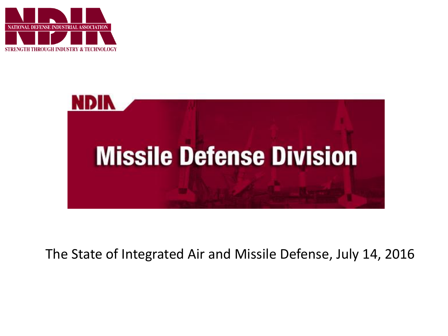



The State of Integrated Air and Missile Defense, July 14, 2016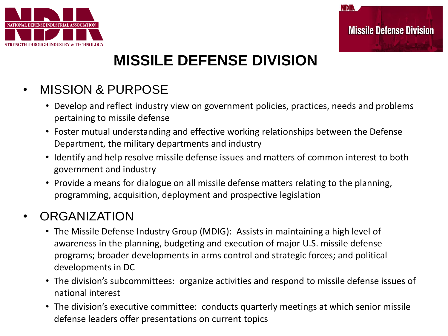



## **MISSILE DEFENSE DIVISION**

#### • MISSION & PURPOSE

- Develop and reflect industry view on government policies, practices, needs and problems pertaining to missile defense
- Foster mutual understanding and effective working relationships between the Defense Department, the military departments and industry
- Identify and help resolve missile defense issues and matters of common interest to both government and industry
- Provide a means for dialogue on all missile defense matters relating to the planning, programming, acquisition, deployment and prospective legislation

#### • ORGANIZATION

- The Missile Defense Industry Group (MDIG): Assists in maintaining a high level of awareness in the planning, budgeting and execution of major U.S. missile defense programs; broader developments in arms control and strategic forces; and political developments in DC
- The division's subcommittees: organize activities and respond to missile defense issues of national interest
- The division's executive committee: conducts quarterly meetings at which senior missile defense leaders offer presentations on current topics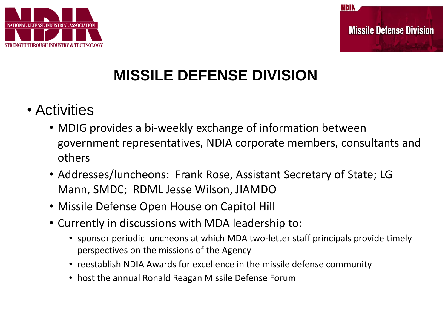



## **MISSILE DEFENSE DIVISION**

- Activities
	- MDIG provides a bi-weekly exchange of information between government representatives, NDIA corporate members, consultants and others
	- Addresses/luncheons: Frank Rose, Assistant Secretary of State; LG Mann, SMDC; RDML Jesse Wilson, JIAMDO
	- Missile Defense Open House on Capitol Hill
	- Currently in discussions with MDA leadership to:
		- sponsor periodic luncheons at which MDA two-letter staff principals provide timely perspectives on the missions of the Agency
		- reestablish NDIA Awards for excellence in the missile defense community
		- host the annual Ronald Reagan Missile Defense Forum